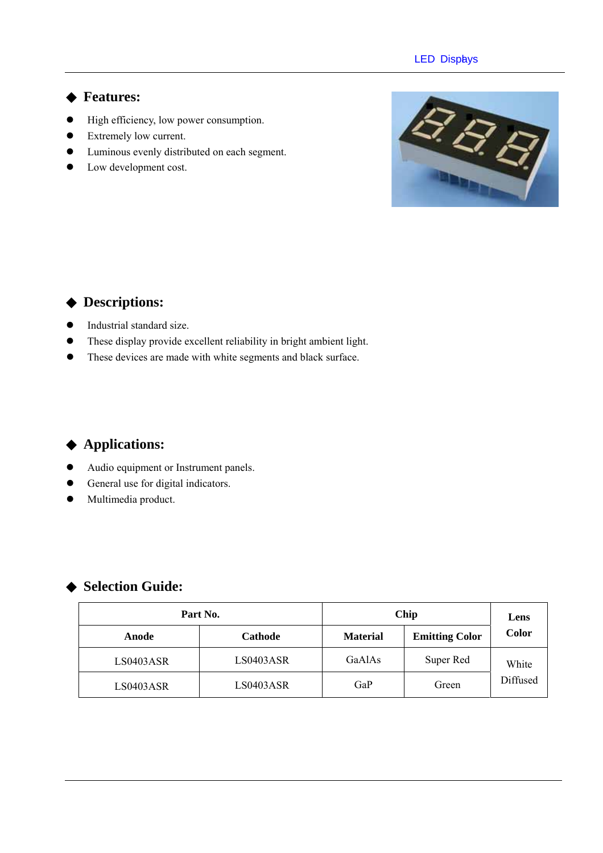#### **LED Displys**

#### **Features:**

- $\bullet$  High efficiency, low power consumption.
- Extremely low current.
- $\bullet$  Luminous evenly distributed on each segment.
- Low development cost.



### **Descriptions:**

- $\bullet$  Industrial standard size.
- These display provide excellent reliability in bright ambient light.
- $\bullet$  These devices are made with white segments and black surface.

## **Applications:**

- Audio equipment or Instrument panels.
- General use for digital indicators.
- Multimedia product.

### **Selection Guide:**

| Part No.  |                | Chip                                     | Lens      |          |  |
|-----------|----------------|------------------------------------------|-----------|----------|--|
| Anode     | <b>Cathode</b> | <b>Emitting Color</b><br><b>Material</b> |           | Color    |  |
| LS0403ASR | LS0403ASR      | GaAlAs                                   | Super Red | White    |  |
| LS0403ASR | LS0403ASR      | GaP                                      | Green     | Diffused |  |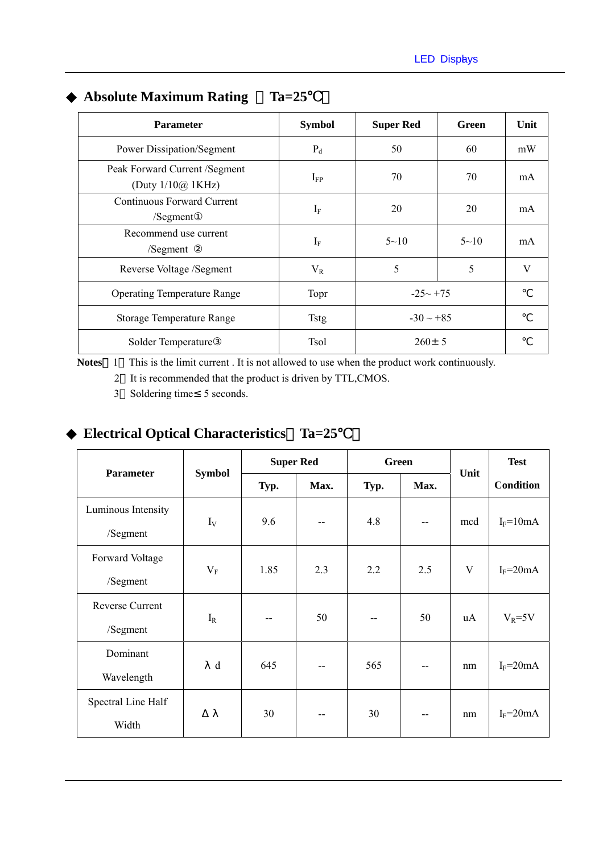| <b>Parameter</b>                                          | <b>Symbol</b> | <b>Super Red</b> | Green    | Unit |
|-----------------------------------------------------------|---------------|------------------|----------|------|
| <b>Power Dissipation/Segment</b>                          | $P_d$         | 50               | 60       | mW   |
| Peak Forward Current /Segment<br>(Duty $1/10\omega$ 1KHz) | $\rm I_{FP}$  | 70               | 70       | mA   |
| Continuous Forward Current<br>/Segment                    | $I_{\rm F}$   | 20               | 20       | mA   |
| Recommend use current<br>/Segment                         | $I_F$         | $5 - 10$         | $5 - 10$ | mA   |
| Reverse Voltage /Segment                                  | $V_{R}$       | 5                | 5        | V    |
| <b>Operating Temperature Range</b>                        | Topr          | $-25 - +75$      |          |      |
| <b>Storage Temperature Range</b>                          | <b>Tstg</b>   | $-30 \sim +85$   |          |      |
| Solder Temperature                                        | <b>Tsol</b>   | $260 \pm 5$      |          |      |

# **Absolute Maximum Rating**  Ta=25

Notes 1 This is the limit current . It is not allowed to use when the product work continuously.

2 It is recommended that the product is driven by TTL,CMOS.

3 Soldering time 5 seconds.

## **Electrical Optical Characteristics**%**Ta=25**℃)

| <b>Parameter</b>   | <b>Symbol</b> | <b>Super Red</b> |      | <b>Green</b> |       | Unit | <b>Test</b>      |
|--------------------|---------------|------------------|------|--------------|-------|------|------------------|
|                    |               | Typ.             | Max. | Typ.         | Max.  |      | <b>Condition</b> |
| Luminous Intensity | $I_V$         | 9.6              | --   | 4.8          | $- -$ | mcd  |                  |
| /Segment           |               |                  |      |              |       |      | $I_F = 10mA$     |
| Forward Voltage    | $V_{\rm F}$   | 1.85             | 2.3  | 2.2          | 2.5   | V    | $I_F = 20mA$     |
| /Segment           |               |                  |      |              |       |      |                  |
| Reverse Current    | $I_R$         |                  | 50   |              | 50    | uA   | $V_R = 5V$       |
| /Segment           |               |                  |      |              |       |      |                  |
| Dominant           | d             | 645              | --   | 565          | $- -$ | nm   | $I_F = 20mA$     |
| Wavelength         |               |                  |      |              |       |      |                  |
| Spectral Line Half |               | 30               | --   | 30           | $- -$ | nm   | $I_F = 20mA$     |
| Width              |               |                  |      |              |       |      |                  |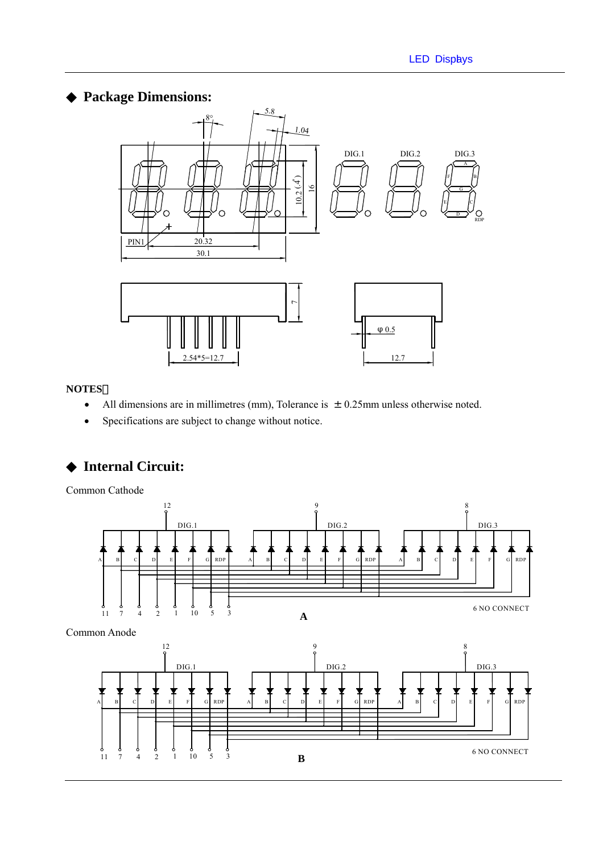## **Package Dimensions:**



#### **NOTES**:

- All dimensions are in millimetres (mm), Tolerance is  $\pm 0.25$ mm unless otherwise noted.
- Specifications are subject to change without notice.

## **Internal Circuit:**

Common Cathode





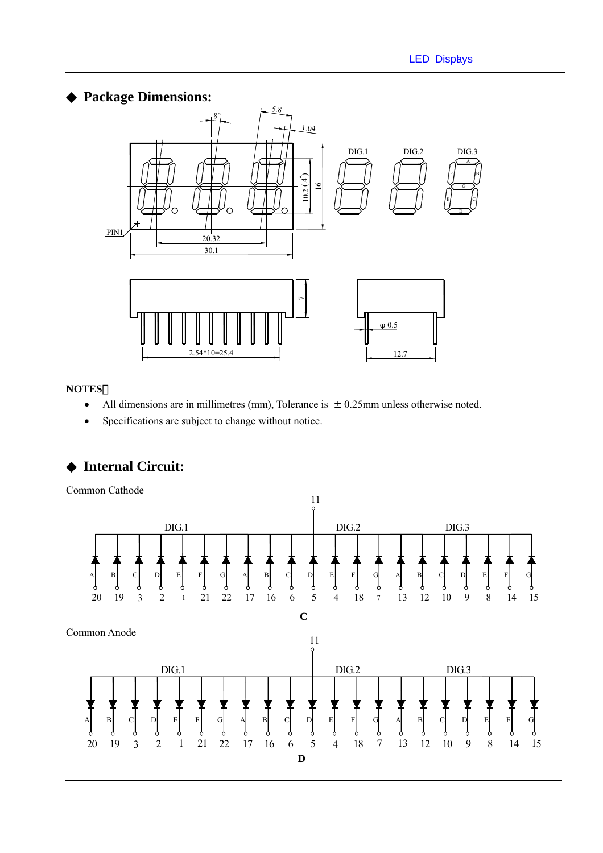### **Package Dimensions:**



#### **NOTES**:

- All dimensions are in millimetres (mm), Tolerance is  $\pm 0.25$ mm unless otherwise noted.
- Specifications are subject to change without notice.

## **Internal Circuit:**

Common Cathode

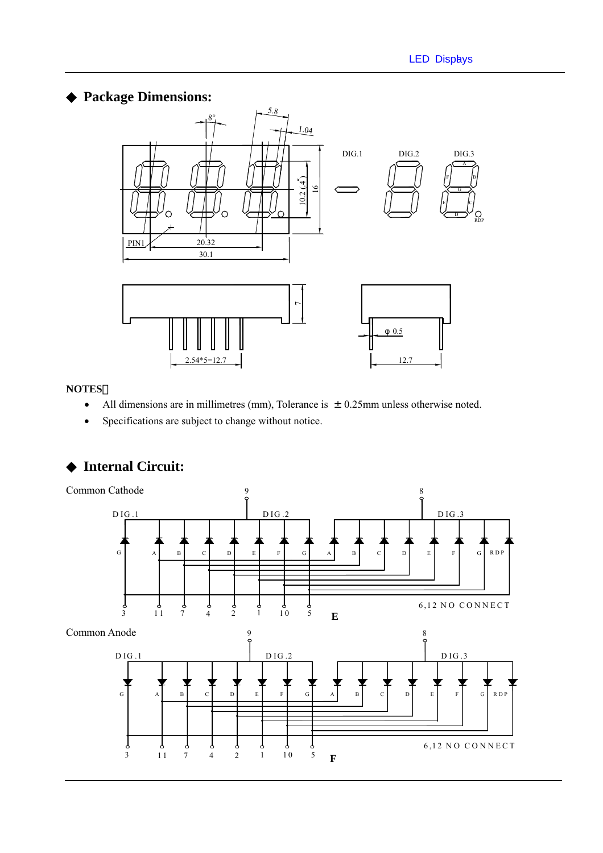## **Package Dimensions:**



#### **NOTES**:

- All dimensions are in millimetres (mm), Tolerance is  $\pm 0.25$ mm unless otherwise noted.
- Specifications are subject to change without notice.



### **Internal Circuit:**